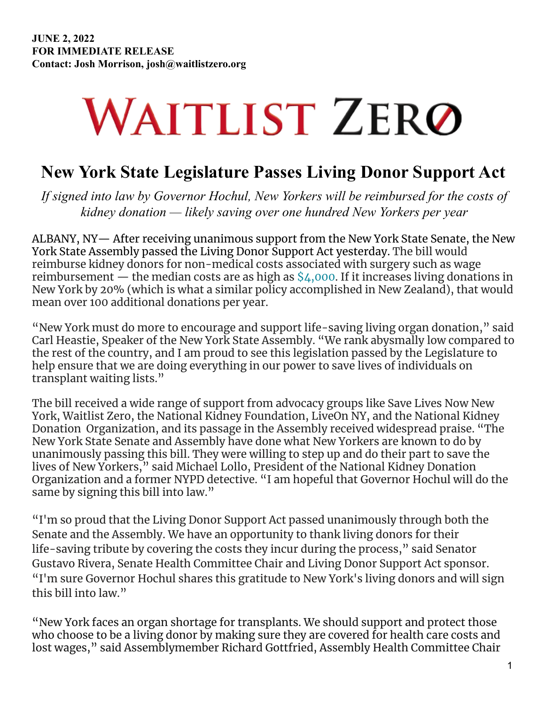## **WAITLIST ZERO**

## **New York State Legislature Passes Living Donor Support Act**

*If signed into law by Governor Hochul, New Yorkers will be reimbursed for the costs of kidney donation — likely saving over one hundred New Yorkers per year*

ALBANY, NY— After receiving unanimous support from the New York State Senate, the New York State Assembly passed the Living Donor Support Act yesterday. The bill would reimburse kidney donors for non-medical costs associated with surgery such as wage reimbursement — the median costs are as high as  $\frac{1}{4}$ ,000. If it increases living donations in New York by 20% (which is what a similar policy accomplished in New Zealand), that would mean over 100 additional donations per year.

"New York must do more to encourage and support life-saving living organ donation," said Carl Heastie, Speaker of the New York State Assembly. "We rank abysmally low compared to the rest of the country, and I am proud to see this legislation passed by the Legislature to help ensure that we are doing everything in our power to save lives of individuals on transplant waiting lists."

The bill received a wide range of support from advocacy groups like Save Lives Now New York, Waitlist Zero, the National Kidney Foundation, LiveOn NY, and the National Kidney Donation Organization, and its passage in the Assembly received widespread praise. "The New York State Senate and Assembly have done what New Yorkers are known to do by unanimously passing this bill. They were willing to step up and do their part to save the lives of New Yorkers," said Michael Lollo, President of the National Kidney Donation Organization and a former NYPD detective. "I am hopeful that Governor Hochul will do the same by signing this bill into law."

"I'm so proud that the Living Donor Support Act passed unanimously through both the Senate and the Assembly. We have an opportunity to thank living donors for their life-saving tribute by covering the costs they incur during the process," said Senator Gustavo Rivera, Senate Health Committee Chair and Living Donor Support Act sponsor. "I'm sure Governor Hochul shares this gratitude to New York's living donors and will sign this bill into law."

"New York faces an organ shortage for transplants. We should support and protect those who choose to be a living donor by making sure they are covered for health care costs and lost wages," said Assemblymember Richard Gottfried, Assembly Health Committee Chair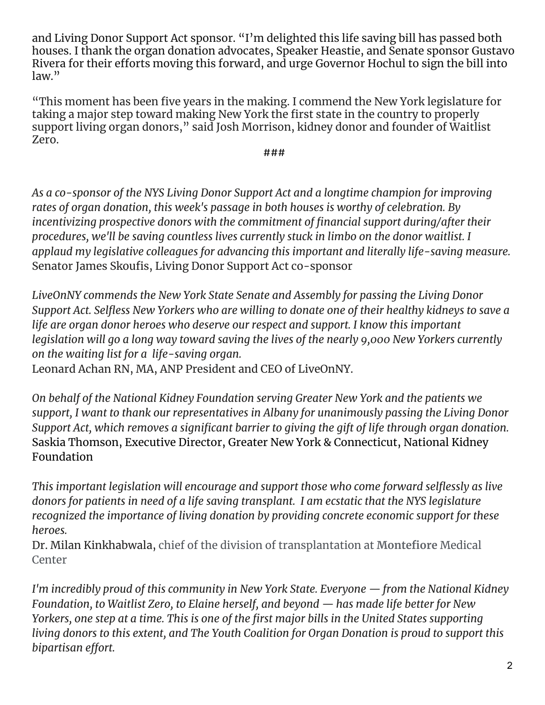and Living Donor Support Act sponsor. "I'm delighted this life saving bill has passed both houses. I thank the organ donation advocates, Speaker Heastie, and Senate sponsor Gustavo Rivera for their efforts moving this forward, and urge Governor Hochul to sign the bill into law."

"This moment has been five years in the making. I commend the New York legislature for taking a major step toward making New York the first state in the country to properly support living organ donors," said Josh Morrison, kidney donor and founder of Waitlist Zero.

*###*

*As a co-sponsor of the NYS Living Donor Support Act and a longtime champion for improving rates of organ donation, this week's passage in both houses is worthy of celebration. By incentivizing prospective donors with the commitment of financial support during/after their procedures, we'll be saving countless lives currently stuck in limbo on the donor waitlist. I applaud my legislative colleagues for advancing this important and literally life-saving measure.* Senator James Skoufis, Living Donor Support Act co-sponsor

*LiveOnNY commends the New York State Senate and Assembly for passing the Living Donor Support Act. Selfless New Yorkers who are willing to donate one of their healthy kidneys to save a life are organ donor heroes who deserve our respect and support. I know this important legislation will go a long way toward saving the lives of the nearly 9,000 New Yorkers currently on the waiting list for a life-saving organ.*

Leonard Achan RN, MA, ANP President and CEO of LiveOnNY.

*On behalf of the National Kidney Foundation serving Greater New York and the patients we support, I want to thank our representatives in Albany for unanimously passing the Living Donor Support Act, which removes a significant barrier to giving the gift of life through organ donation.* Saskia Thomson, Executive Director, Greater New York & Connecticut, National Kidney Foundation

*This important legislation will encourage and support those who come forward selflessly as live donors for patients in need of a life saving transplant. I am ecstatic that the NYS legislature recognized the importance of living donation by providing concrete economic support for these heroes.*

Dr. Milan Kinkhabwala, chief of the division of transplantation at **Montefiore** Medical Center

*I'm incredibly proud of this community in New York State. Everyone — from the National Kidney Foundation, to Waitlist Zero, to Elaine herself, and beyond — has made life better for New* Yorkers, one step at a time. This is one of the first major bills in the United States supporting *living donors to this extent, and The Youth Coalition for Organ Donation is proud to support this bipartisan effort.*